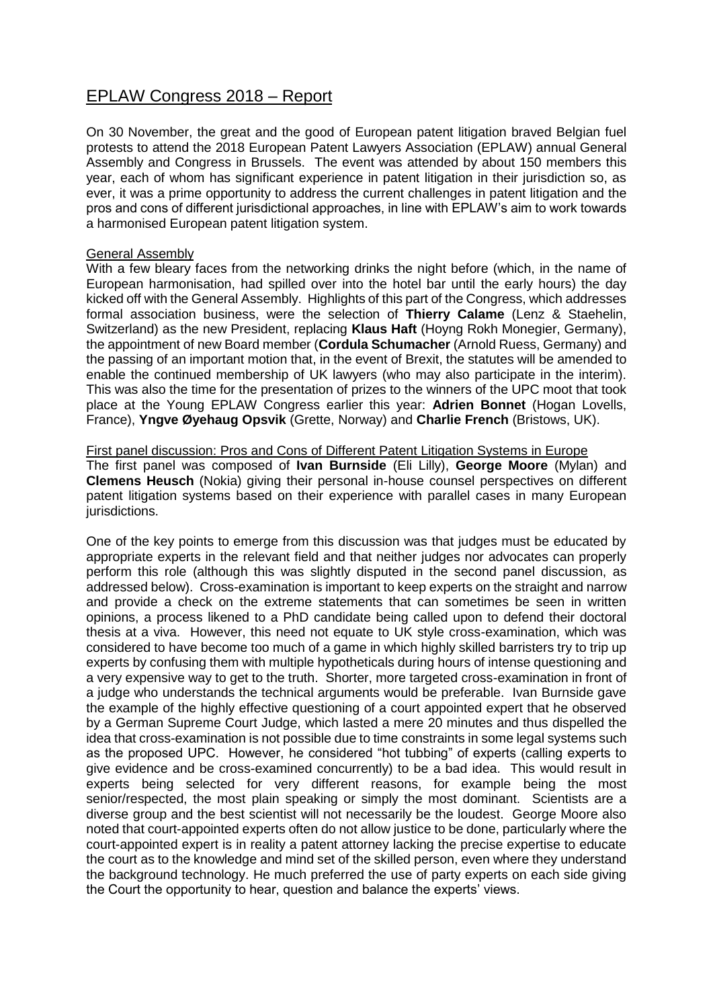# EPLAW Congress 2018 – Report

On 30 November, the great and the good of European patent litigation braved Belgian fuel protests to attend the 2018 European Patent Lawyers Association (EPLAW) annual General Assembly and Congress in Brussels. The event was attended by about 150 members this year, each of whom has significant experience in patent litigation in their jurisdiction so, as ever, it was a prime opportunity to address the current challenges in patent litigation and the pros and cons of different jurisdictional approaches, in line with EPLAW's aim to work towards a harmonised European patent litigation system.

## General Assembly

With a few bleary faces from the networking drinks the night before (which, in the name of European harmonisation, had spilled over into the hotel bar until the early hours) the day kicked off with the General Assembly. Highlights of this part of the Congress, which addresses formal association business, were the selection of **Thierry Calame** (Lenz & Staehelin, Switzerland) as the new President, replacing **Klaus Haft** (Hoyng Rokh Monegier, Germany), the appointment of new Board member (**Cordula Schumacher** (Arnold Ruess, Germany) and the passing of an important motion that, in the event of Brexit, the statutes will be amended to enable the continued membership of UK lawyers (who may also participate in the interim). This was also the time for the presentation of prizes to the winners of the UPC moot that took place at the Young EPLAW Congress earlier this year: **Adrien Bonnet** (Hogan Lovells, France), **Yngve Øyehaug Opsvik** (Grette, Norway) and **Charlie French** (Bristows, UK).

### First panel discussion: Pros and Cons of Different Patent Litigation Systems in Europe

The first panel was composed of **Ivan Burnside** (Eli Lilly), **George Moore** (Mylan) and **Clemens Heusch** (Nokia) giving their personal in-house counsel perspectives on different patent litigation systems based on their experience with parallel cases in many European jurisdictions.

One of the key points to emerge from this discussion was that judges must be educated by appropriate experts in the relevant field and that neither judges nor advocates can properly perform this role (although this was slightly disputed in the second panel discussion, as addressed below). Cross-examination is important to keep experts on the straight and narrow and provide a check on the extreme statements that can sometimes be seen in written opinions, a process likened to a PhD candidate being called upon to defend their doctoral thesis at a viva. However, this need not equate to UK style cross-examination, which was considered to have become too much of a game in which highly skilled barristers try to trip up experts by confusing them with multiple hypotheticals during hours of intense questioning and a very expensive way to get to the truth. Shorter, more targeted cross-examination in front of a judge who understands the technical arguments would be preferable. Ivan Burnside gave the example of the highly effective questioning of a court appointed expert that he observed by a German Supreme Court Judge, which lasted a mere 20 minutes and thus dispelled the idea that cross-examination is not possible due to time constraints in some legal systems such as the proposed UPC. However, he considered "hot tubbing" of experts (calling experts to give evidence and be cross-examined concurrently) to be a bad idea. This would result in experts being selected for very different reasons, for example being the most senior/respected, the most plain speaking or simply the most dominant. Scientists are a diverse group and the best scientist will not necessarily be the loudest. George Moore also noted that court-appointed experts often do not allow justice to be done, particularly where the court-appointed expert is in reality a patent attorney lacking the precise expertise to educate the court as to the knowledge and mind set of the skilled person, even where they understand the background technology. He much preferred the use of party experts on each side giving the Court the opportunity to hear, question and balance the experts' views.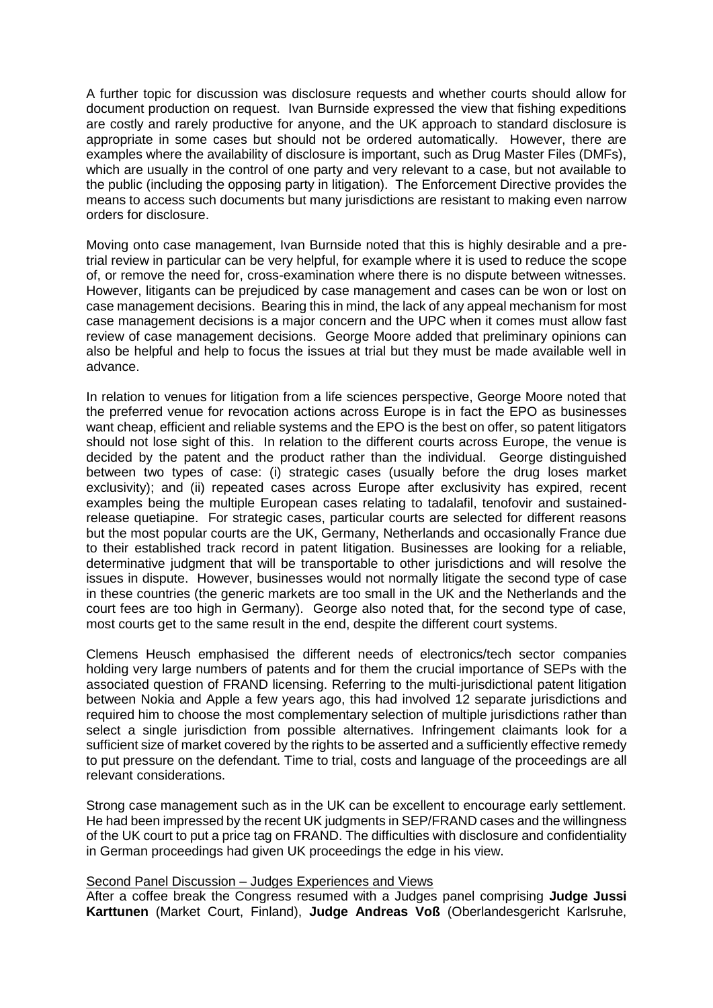A further topic for discussion was disclosure requests and whether courts should allow for document production on request. Ivan Burnside expressed the view that fishing expeditions are costly and rarely productive for anyone, and the UK approach to standard disclosure is appropriate in some cases but should not be ordered automatically. However, there are examples where the availability of disclosure is important, such as Drug Master Files (DMFs), which are usually in the control of one party and very relevant to a case, but not available to the public (including the opposing party in litigation). The Enforcement Directive provides the means to access such documents but many jurisdictions are resistant to making even narrow orders for disclosure.

Moving onto case management, Ivan Burnside noted that this is highly desirable and a pretrial review in particular can be very helpful, for example where it is used to reduce the scope of, or remove the need for, cross-examination where there is no dispute between witnesses. However, litigants can be prejudiced by case management and cases can be won or lost on case management decisions. Bearing this in mind, the lack of any appeal mechanism for most case management decisions is a major concern and the UPC when it comes must allow fast review of case management decisions. George Moore added that preliminary opinions can also be helpful and help to focus the issues at trial but they must be made available well in advance.

In relation to venues for litigation from a life sciences perspective, George Moore noted that the preferred venue for revocation actions across Europe is in fact the EPO as businesses want cheap, efficient and reliable systems and the EPO is the best on offer, so patent litigators should not lose sight of this. In relation to the different courts across Europe, the venue is decided by the patent and the product rather than the individual. George distinguished between two types of case: (i) strategic cases (usually before the drug loses market exclusivity); and (ii) repeated cases across Europe after exclusivity has expired, recent examples being the multiple European cases relating to tadalafil, tenofovir and sustainedrelease quetiapine. For strategic cases, particular courts are selected for different reasons but the most popular courts are the UK, Germany, Netherlands and occasionally France due to their established track record in patent litigation. Businesses are looking for a reliable, determinative judgment that will be transportable to other jurisdictions and will resolve the issues in dispute. However, businesses would not normally litigate the second type of case in these countries (the generic markets are too small in the UK and the Netherlands and the court fees are too high in Germany). George also noted that, for the second type of case, most courts get to the same result in the end, despite the different court systems.

Clemens Heusch emphasised the different needs of electronics/tech sector companies holding very large numbers of patents and for them the crucial importance of SEPs with the associated question of FRAND licensing. Referring to the multi-jurisdictional patent litigation between Nokia and Apple a few years ago, this had involved 12 separate jurisdictions and required him to choose the most complementary selection of multiple jurisdictions rather than select a single jurisdiction from possible alternatives. Infringement claimants look for a sufficient size of market covered by the rights to be asserted and a sufficiently effective remedy to put pressure on the defendant. Time to trial, costs and language of the proceedings are all relevant considerations.

Strong case management such as in the UK can be excellent to encourage early settlement. He had been impressed by the recent UK judgments in SEP/FRAND cases and the willingness of the UK court to put a price tag on FRAND. The difficulties with disclosure and confidentiality in German proceedings had given UK proceedings the edge in his view.

### Second Panel Discussion – Judges Experiences and Views

After a coffee break the Congress resumed with a Judges panel comprising **Judge Jussi Karttunen** (Market Court, Finland), **Judge Andreas Voß** (Oberlandesgericht Karlsruhe,